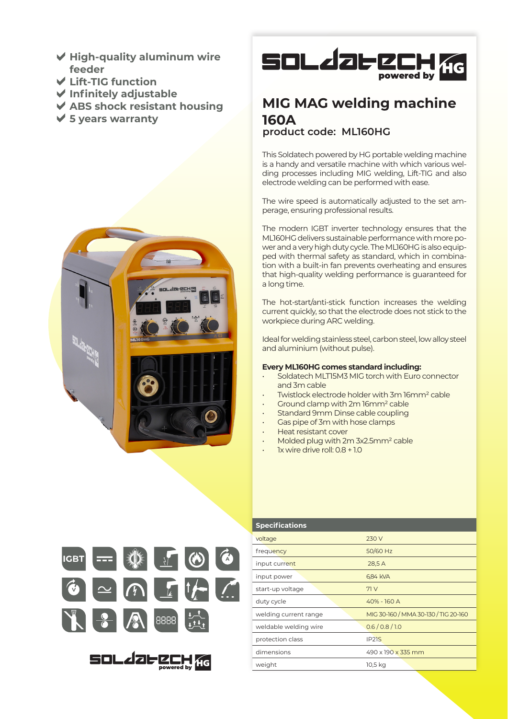- **High-quality aluminum wire feeder**
- **Lift-TIG function**
- **Infinitely adjustable**
- **ABS shock resistant housing**
- **5 years warranty**





## **MIG MAG welding machine 160A product code: ML160HG**

This Soldatech powered by HG portable welding machine is a handy and versatile machine with which various welding processes including MIG welding, Lift-TIG and also electrode welding can be performed with ease.

The wire speed is automatically adjusted to the set amperage, ensuring professional results.

The modern IGBT inverter technology ensures that the ML160HG delivers sustainable performance with more power and a very high duty cycle. The ML160HG is also equipped with thermal safety as standard, which in combination with a built-in fan prevents overheating and ensures that high-quality welding performance is guaranteed for a long time.

The hot-start/anti-stick function increases the welding current quickly, so that the electrode does not stick to the workpiece during ARC welding.

Ideal for welding stainless steel, carbon steel, low alloy steel and aluminium (without pulse).

## **Every ML160HG comes standard including:**

- Soldatech MLT15M3 MIG torch with Euro connector and 3m cable
- Twistlock electrode holder with 3m 16mm² cable
- Ground clamp with 2m 16mm² cable
- Standard 9mm Dinse cable coupling
- Gas pipe of 3m with hose clamps
- Heat resistant cover
- Molded plug with 2m 3x2.5mm² cable
- 1x wire drive roll: 0.8 + 1.0



SOL JOF CCH 56

powered by

| <b>Specifications</b> |                                      |
|-----------------------|--------------------------------------|
| voltage               | 230 V                                |
| frequency             | 50/60 Hz                             |
| input current         | 28,5 A                               |
| input power           | 6,84 kVA                             |
| start-up voltage      | 71V                                  |
| duty cycle            | 40% - 160 A                          |
| welding current range | MIG 30-160 / MMA 30-130 / TIG 20-160 |
| weldable welding wire | 0.6/0.8/1.0                          |
| protection class      | IP <sub>2</sub> 1S                   |
| dimensions            | 490 x 190 x 335 mm                   |
| weight                | 10,5 kg                              |
|                       |                                      |